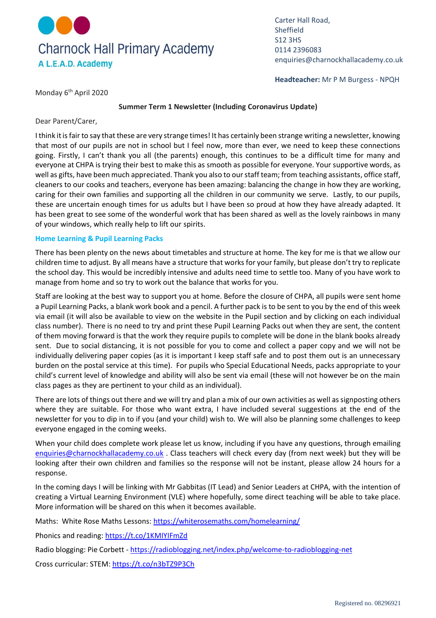

Carter Hall Road, Sheffield S12 3HS 0114 2396083 enquiries@charnockhallacademy.co.uk

**Headteacher:** Mr P M Burgess - NPQH

Monday 6<sup>th</sup> April 2020

### **Summer Term 1 Newsletter (Including Coronavirus Update)**

Dear Parent/Carer,

I think it is fair to say that these are very strange times! It has certainly been strange writing a newsletter, knowing that most of our pupils are not in school but I feel now, more than ever, we need to keep these connections going. Firstly, I can't thank you all (the parents) enough, this continues to be a difficult time for many and everyone at CHPA is trying their best to make this as smooth as possible for everyone. Your supportive words, as well as gifts, have been much appreciated. Thank you also to our staff team; from teaching assistants, office staff, cleaners to our cooks and teachers, everyone has been amazing: balancing the change in how they are working, caring for their own families and supporting all the children in our community we serve. Lastly, to our pupils, these are uncertain enough times for us adults but I have been so proud at how they have already adapted. It has been great to see some of the wonderful work that has been shared as well as the lovely rainbows in many of your windows, which really help to lift our spirits.

## **Home Learning & Pupil Learning Packs**

There has been plenty on the news about timetables and structure at home. The key for me is that we allow our children time to adjust. By all means have a structure that works for your family, but please don't try to replicate the school day. This would be incredibly intensive and adults need time to settle too. Many of you have work to manage from home and so try to work out the balance that works for you.

Staff are looking at the best way to support you at home. Before the closure of CHPA, all pupils were sent home a Pupil Learning Packs, a blank work book and a pencil. A further pack is to be sent to you by the end of this week via email (it will also be available to view on the website in the Pupil section and by clicking on each individual class number). There is no need to try and print these Pupil Learning Packs out when they are sent, the content of them moving forward is that the work they require pupils to complete will be done in the blank books already sent. Due to social distancing, it is not possible for you to come and collect a paper copy and we will not be individually delivering paper copies (as it is important I keep staff safe and to post them out is an unnecessary burden on the postal service at this time). For pupils who Special Educational Needs, packs appropriate to your child's current level of knowledge and ability will also be sent via email (these will not however be on the main class pages as they are pertinent to your child as an individual).

There are lots of things out there and we will try and plan a mix of our own activities as well as signposting others where they are suitable. For those who want extra, I have included several suggestions at the end of the newsletter for you to dip in to if you (and your child) wish to. We will also be planning some challenges to keep everyone engaged in the coming weeks.

When your child does complete work please let us know, including if you have any questions, through emailing [enquiries@charnockhallacademy.co.uk](mailto:enquiries@charnockhallacademy.co.uk) . Class teachers will check every day (from next week) but they will be looking after their own children and families so the response will not be instant, please allow 24 hours for a response.

In the coming days I will be linking with Mr Gabbitas (IT Lead) and Senior Leaders at CHPA, with the intention of creating a Virtual Learning Environment (VLE) where hopefully, some direct teaching will be able to take place. More information will be shared on this when it becomes available.

Maths: White Rose Maths Lessons:<https://whiterosemaths.com/homelearning/>

Phonics and reading:<https://t.co/1KMIYIFmZd>

Radio blogging: Pie Corbett - <https://radioblogging.net/index.php/welcome-to-radioblogging-net>

Cross curricular: STEM:<https://t.co/n3bTZ9P3Ch>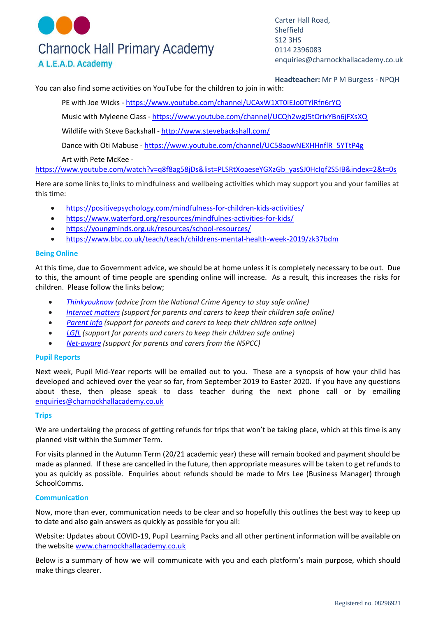# **Charnock Hall Primary Academy** A L.E.A.D. Academy

Carter Hall Road, **Sheffield** S12 3HS 0114 2396083 enquiries@charnockhallacademy.co.uk

**Headteacher:** Mr P M Burgess - NPQH

You can also find some activities on YouTube for the children to join in with:

PE with Joe Wicks - <https://www.youtube.com/channel/UCAxW1XT0iEJo0TYlRfn6rYQ>

Music with Myleene Class - <https://www.youtube.com/channel/UCQh2wgJ5tOrixYBn6jFXsXQ>

Wildlife with Steve Backshall - <http://www.stevebackshall.com/>

Dance with Oti Mabuse - [https://www.youtube.com/channel/UC58aowNEXHHnflR\\_5YTtP4g](https://www.youtube.com/channel/UC58aowNEXHHnflR_5YTtP4g)

Art with Pete McKee -

[https://www.youtube.com/watch?v=q8f8ag58jDs&list=PLSRtXoaeseYGXzGb\\_yasSJ0HcIqf2S5IB&index=2&t=0s](https://www.youtube.com/watch?v=q8f8ag58jDs&list=PLSRtXoaeseYGXzGb_yasSJ0HcIqf2S5IB&index=2&t=0s)

Here are some links to links to mindfulness and wellbeing activities which may support you and your families at this time:

- <https://positivepsychology.com/mindfulness-for-children-kids-activities/>
- <https://www.waterford.org/resources/mindfulnes-activities-for-kids/>
- <https://youngminds.org.uk/resources/school-resources/>
- <https://www.bbc.co.uk/teach/teach/childrens-mental-health-week-2019/zk37bdm>

## **Being Online**

At this time, due to Government advice, we should be at home unless it is completely necessary to be out. Due to this, the amount of time people are spending online will increase. As a result, this increases the risks for children. Please follow the links below;

- *[Thinkyouknow](https://www.thinkuknow.co.uk/) (advice from the National Crime Agency to stay safe online)*
- *[Internet](https://www.internetmatters.org/?gclid=EAIaIQobChMIktuA5LWK2wIVRYXVCh2afg2aEAAYASAAEgIJ5vD_BwE) matters (support for parents and carers to keep their children safe online)*
- *[Parent](https://parentinfo.org/) info (support for parents and carers to keep their children safe online)*
- *[LGfL](https://www.lgfl.net/online-safety/default.aspx) (support for parents and carers to keep their children safe online)*
- *[Net-aware](https://www.net-aware.org.uk/) (support for parents and carers from the NSPCC)*

## **Pupil Reports**

Next week, Pupil Mid-Year reports will be emailed out to you. These are a synopsis of how your child has developed and achieved over the year so far, from September 2019 to Easter 2020. If you have any questions about these, then please speak to class teacher during the next phone call or by emailing [enquiries@charnockhallacademy.co.uk](mailto:enquiries@charnockhallacademy.co.uk) 

#### **Trips**

We are undertaking the process of getting refunds for trips that won't be taking place, which at this time is any planned visit within the Summer Term.

For visits planned in the Autumn Term (20/21 academic year) these will remain booked and payment should be made as planned. If these are cancelled in the future, then appropriate measures will be taken to get refunds to you as quickly as possible. Enquiries about refunds should be made to Mrs Lee (Business Manager) through SchoolComms.

## **Communication**

Now, more than ever, communication needs to be clear and so hopefully this outlines the best way to keep up to date and also gain answers as quickly as possible for you all:

Website: Updates about COVID-19, Pupil Learning Packs and all other pertinent information will be available on the website [www.charnockhallacademy.co.uk](http://www.charnockhallacademy.co.uk/) 

Below is a summary of how we will communicate with you and each platform's main purpose, which should make things clearer.